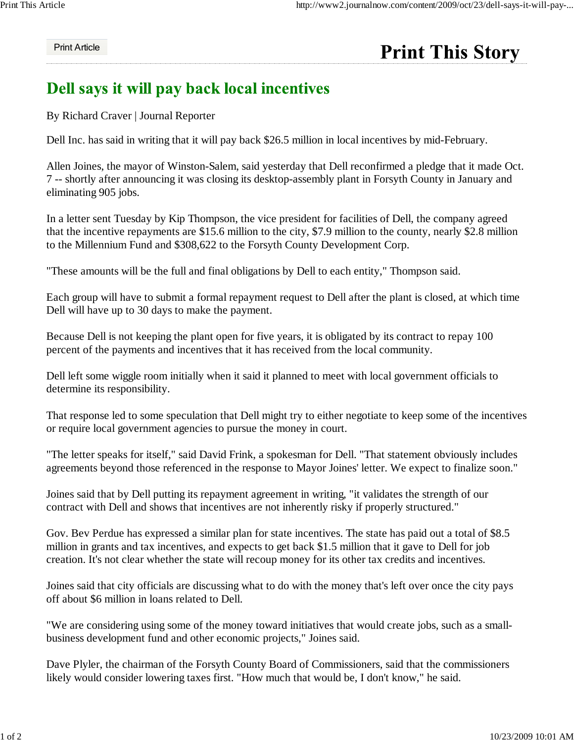## Print Article

## **Print This Story**

## Dell says it will pay back local incentives

By Richard Craver | Journal Reporter

Dell Inc. has said in writing that it will pay back \$26.5 million in local incentives by mid-February.

Allen Joines, the mayor of Winston-Salem, said yesterday that Dell reconfirmed a pledge that it made Oct. 7 -- shortly after announcing it was closing its desktop-assembly plant in Forsyth County in January and eliminating 905 jobs.

In a letter sent Tuesday by Kip Thompson, the vice president for facilities of Dell, the company agreed that the incentive repayments are \$15.6 million to the city, \$7.9 million to the county, nearly \$2.8 million to the Millennium Fund and \$308,622 to the Forsyth County Development Corp.

"These amounts will be the full and final obligations by Dell to each entity," Thompson said.

Each group will have to submit a formal repayment request to Dell after the plant is closed, at which time Dell will have up to 30 days to make the payment.

Because Dell is not keeping the plant open for five years, it is obligated by its contract to repay 100 percent of the payments and incentives that it has received from the local community.

Dell left some wiggle room initially when it said it planned to meet with local government officials to determine its responsibility.

That response led to some speculation that Dell might try to either negotiate to keep some of the incentives or require local government agencies to pursue the money in court.

"The letter speaks for itself," said David Frink, a spokesman for Dell. "That statement obviously includes agreements beyond those referenced in the response to Mayor Joines' letter. We expect to finalize soon."

Joines said that by Dell putting its repayment agreement in writing, "it validates the strength of our contract with Dell and shows that incentives are not inherently risky if properly structured."

Gov. Bev Perdue has expressed a similar plan for state incentives. The state has paid out a total of \$8.5 million in grants and tax incentives, and expects to get back \$1.5 million that it gave to Dell for job creation. It's not clear whether the state will recoup money for its other tax credits and incentives.

Joines said that city officials are discussing what to do with the money that's left over once the city pays off about \$6 million in loans related to Dell.

"We are considering using some of the money toward initiatives that would create jobs, such as a smallbusiness development fund and other economic projects," Joines said.

Dave Plyler, the chairman of the Forsyth County Board of Commissioners, said that the commissioners likely would consider lowering taxes first. "How much that would be, I don't know," he said.